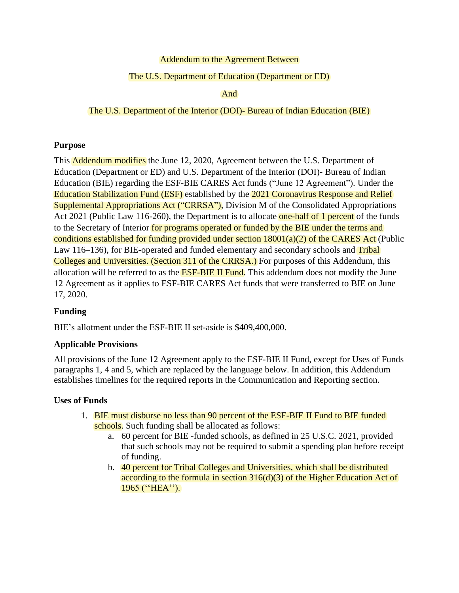### Addendum to the Agreement Between

### The U.S. Department of Education (Department or ED)

And

### The U.S. Department of the Interior (DOI)- Bureau of Indian Education (BIE)

### **Purpose**

This **Addendum modifies** the June 12, 2020, Agreement between the U.S. Department of Education (Department or ED) and U.S. Department of the Interior (DOI)- Bureau of Indian Education (BIE) regarding the ESF-BIE CARES Act funds ("June 12 Agreement"). Under the Education Stabilization Fund (ESF) established by the 2021 Coronavirus Response and Relief Supplemental Appropriations Act ("CRRSA"), Division M of the Consolidated Appropriations Act 2021 (Public Law 116-260), the Department is to allocate one-half of 1 percent of the funds to the Secretary of Interior for programs operated or funded by the BIE under the terms and conditions established for funding provided under section  $18001(a)(2)$  of the CARES Act (Public Law 116–136), for BIE-operated and funded elementary and secondary schools and Tribal Colleges and Universities. (Section 311 of the CRRSA.) For purposes of this Addendum, this allocation will be referred to as the **ESF-BIE II Fund**. This addendum does not modify the June 12 Agreement as it applies to ESF-BIE CARES Act funds that were transferred to BIE on June 17, 2020.

# **Funding**

BIE's allotment under the ESF-BIE II set-aside is \$409,400,000.

### **Applicable Provisions**

All provisions of the June 12 Agreement apply to the ESF-BIE II Fund, except for Uses of Funds paragraphs 1, 4 and 5, which are replaced by the language below. In addition, this Addendum establishes timelines for the required reports in the Communication and Reporting section.

### **Uses of Funds**

- 1. BIE must disburse no less than 90 percent of the ESF-BIE II Fund to BIE funded schools. Such funding shall be allocated as follows:
	- a. 60 percent for BIE -funded schools, as defined in 25 U.S.C. 2021, provided that such schools may not be required to submit a spending plan before receipt of funding.
	- b. 40 percent for Tribal Colleges and Universities, which shall be distributed according to the formula in section 316(d)(3) of the Higher Education Act of 1965 (''HEA'').